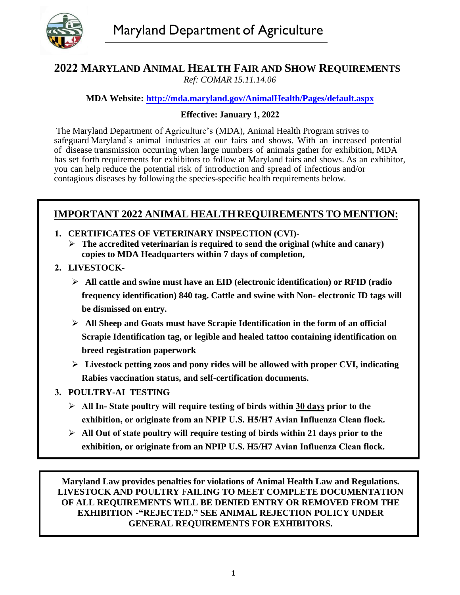

#### **2022 MARYLAND ANIMAL HEALTH FAIR AND SHOW REQUIREMENTS** *Ref: COMAR 15.11.14.06*

**MDA Website: http://mda.maryland.gov/AnimalHealth/Pages/default.aspx**

#### **Effective: January 1, 2022**

The Maryland Department of Agriculture's (MDA), Animal Health Program strives to safeguard Maryland's animal industries at our fairs and shows. With an increased potential of disease transmission occurring when large numbers of animals gather for exhibition, MDA has set forth requirements for exhibitors to follow at Maryland fairs and shows. As an exhibitor, you can help reduce the potential risk of introduction and spread of infectious and/or contagious diseases by following the species-specific health requirements below.

# **IMPORTANT 2022 ANIMAL HEALTHREQUIREMENTS TO MENTION:**

- **1. CERTIFICATES OF VETERINARY INSPECTION (CVI)- The accredited veterinarian is required to send the original (white and canary) copies to MDA Headquarters within 7 days of completion,**
- **2. LIVESTOCK-**
	- **All cattle and swine must have an EID (electronic identification) or RFID (radio frequency identification) 840 tag. Cattle and swine with Non- electronic ID tags will be dismissed on entry.**
	- **All Sheep and Goats must have Scrapie Identification in the form of an official Scrapie Identification tag, or legible and healed tattoo containing identification on breed registration paperwork**
	- **Livestock petting zoos and pony rides will be allowed with proper CVI, indicating Rabies vaccination status, and self-certification documents.**

#### **3. POULTRY-AI TESTING**

- **All In- State poultry will require testing of birds within 30 days prior to the exhibition, or originate from an NPIP U.S. H5/H7 Avian Influenza Clean flock.**
- **All Out of state poultry will require testing of birds within 21 days prior to the exhibition, or originate from an NPIP U.S. H5/H7 Avian Influenza Clean flock.**

**Maryland Law provides penalties for violations of Animal Health Law and Regulations. LIVESTOCK AND POULTRY** F**AILING TO MEET COMPLETE DOCUMENTATION OF ALL REQUIREMENTS WILL BE DENIED ENTRY OR REMOVED FROM THE EXHIBITION -"REJECTED." SEE ANIMAL REJECTION POLICY UNDER GENERAL REQUIREMENTS FOR EXHIBITORS.**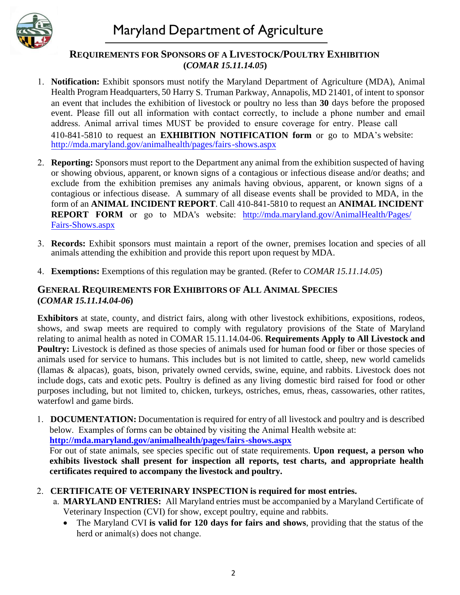

#### **REQUIREMENTS FOR SPONSORS OF A LIVESTOCK/POULTRY EXHIBITION (***COMAR 15.11.14.05***)**

- 1. **Notification:** Exhibit sponsors must notify the Maryland Department of Agriculture (MDA), Animal Health Program Headquarters, 50 Harry S. Truman Parkway, Annapolis, MD 21401, of intent to sponsor an event that includes the exhibition of livestock or poultry no less than **30** days before the proposed event. Please fill out all information with contact correctly, to include a phone number and email address. Animal arrival times MUST be provided to ensure coverage for entry. Please call 410-841-5810 to request an **EXHIBITION NOTIFICATION form** or go to MDA's website: http://mda.maryland.gov/animalhealth/pages/fairs -shows.aspx
- 2. **Reporting:** Sponsors must report to the Department any animal from the exhibition suspected of having or showing obvious, apparent, or known signs of a contagious or infectious disease and/or deaths; and exclude from the exhibition premises any animals having obvious, apparent, or known signs of a contagious or infectious disease. A summary of all disease events shall be provided to MDA, in the form of an **ANIMAL INCIDENT REPORT**. Call 410-841-5810 to request an **ANIMAL INCIDENT REPORT FORM** or go to MDA's website: http://mda.maryland.gov/AnimalHealth/Pages/ Fairs-Shows.aspx
- 3. **Records:** Exhibit sponsors must maintain a report of the owner, premises location and species of all animals attending the exhibition and provide this report upon request by MDA.
- 4. **Exemptions:** Exemptions of this regulation may be granted. (Refer to *COMAR 15.11.14.05*)

## **GENERAL REQUIREMENTS FOR EXHIBITORS OF ALL ANIMAL SPECIES (***COMAR 15.11.14.04-06***)**

**Exhibitors** at state, county, and district fairs, along with other livestock exhibitions, expositions, rodeos, shows, and swap meets are required to comply with regulatory provisions of the State of Maryland relating to animal health as noted in COMAR 15.11.14.04-06. **Requirements Apply to All Livestock and Poultry:** Livestock is defined as those species of animals used for human food or fiber or those species of animals used for service to humans. This includes but is not limited to cattle, sheep, new world camelids (llamas & alpacas), goats, bison, privately owned cervids, swine, equine, and rabbits. Livestock does not include dogs, cats and exotic pets. Poultry is defined as any living domestic bird raised for food or other purposes including, but not limited to, chicken, turkeys, ostriches, emus, rheas, cassowaries, other ratites, waterfowl and game birds.

1. **DOCUMENTATION:** Documentation is required for entry of all livestock and poultry and is described below. Examples of forms can be obtained by visiting the Animal Health website at:

**http://mda.maryland.gov/animalhealth/pages/fairs -shows.aspx**

For out of state animals, see species specific out of state requirements. **Upon request, a person who exhibits livestock shall present for inspection all reports, test charts, and appropriate health certificates required to accompany the livestock and poultry.**

- 2. **CERTIFICATE OF VETERINARY INSPECTION is required for most entries.**
	- a. **MARYLAND ENTRIES:** All Maryland entries must be accompanied by a Maryland Certificate of Veterinary Inspection (CVI) for show, except poultry, equine and rabbits.
		- The Maryland CVI **is valid for 120 days for fairs and shows**, providing that the status of the herd or animal(s) does not change.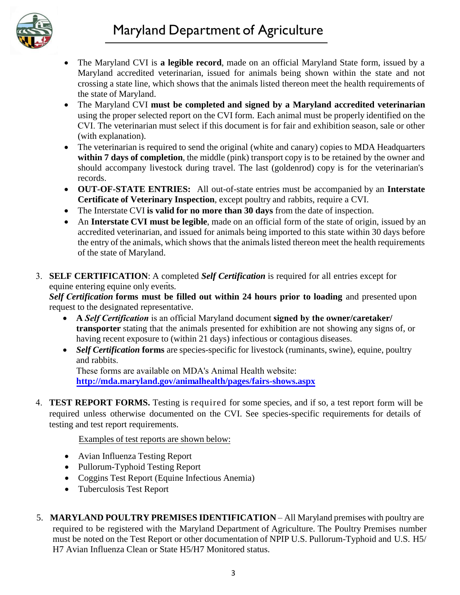# Maryland Department of Agriculture



- The Maryland CVI is **a legible record**, made on an official Maryland State form, issued by a Maryland accredited veterinarian, issued for animals being shown within the state and not crossing a state line, which shows that the animals listed thereon meet the health requirements of the state of Maryland.
- The Maryland CVI **must be completed and signed by a Maryland accredited veterinarian** using the proper selected report on the CVI form. Each animal must be properly identified on the CVI. The veterinarian must select if this document is for fair and exhibition season, sale or other (with explanation).
- The veterinarian is required to send the original (white and canary) copies to MDA Headquarters within **7 days of completion**, the middle (pink) transport copy is to be retained by the owner and should accompany livestock during travel. The last (goldenrod) copy is for the veterinarian's records.
- **OUT-OF-STATE ENTRIES:** All out-of-state entries must be accompanied by an **Interstate Certificate of Veterinary Inspection**, except poultry and rabbits, require a CVI.
- The Interstate CVI **is valid for no more than 30 days** from the date of inspection.
- An **Interstate CVI must be legible**, made on an official form of the state of origin, issued by an accredited veterinarian, and issued for animals being imported to this state within 30 days before the entry of the animals, which shows that the animals listed thereon meet the health requirements of the state of Maryland.
- 3. **SELF CERTIFICATION**: A completed *Self Certification* is required for all entries except for equine entering equine only events*.*

*Self Certification* **forms must be filled out within 24 hours prior to loading** and presented upon request to the designated representative.

- **A** *Self Certification* is an official Maryland document **signed by the owner/caretaker/ transporter** stating that the animals presented for exhibition are not showing any signs of, or having recent exposure to (within 21 days) infectious or contagious diseases.
- *Self Certification* forms are species-specific for livestock (ruminants, swine), equine, poultry and rabbits.

These forms are available on MDA's Animal Health website: **http://mda.maryland.gov/animalhealth/pages/fairs-shows.aspx**

4. **TEST REPORT FORMS.** Testing is required for some species, and if so, a test report form will be required unless otherwise documented on the CVI. See species-specific requirements for details of testing and test report requirements.

Examples of test reports are shown below:

- Avian Influenza Testing Report
- Pullorum-Typhoid Testing Report
- Coggins Test Report (Equine Infectious Anemia)
- Tuberculosis Test Report
- 5. **MARYLAND POULTRY PREMISES IDENTIFICATION** All Maryland premises with poultry are required to be registered with the Maryland Department of Agriculture. The Poultry Premises number must be noted on the Test Report or other documentation of NPIP U.S. Pullorum-Typhoid and U.S. H5/ H7 Avian Influenza Clean or State H5/H7 Monitored status.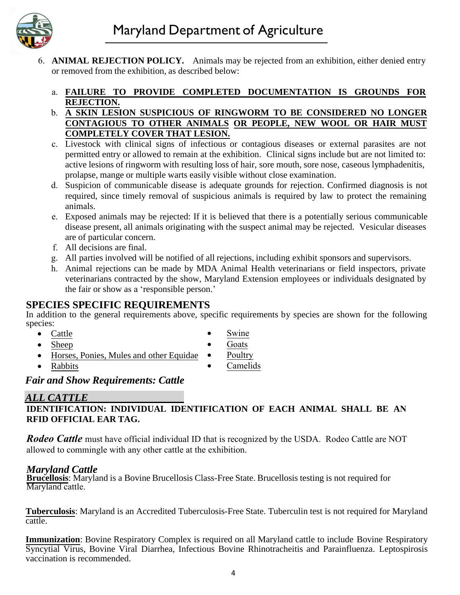

6. **ANIMAL REJECTION POLICY.** Animals may be rejected from an exhibition, either denied entry or removed from the exhibition, as described below:

#### a. **FAILURE TO PROVIDE COMPLETED DOCUMENTATION IS GROUNDS FOR REJECTION.**

- b. **A SKIN LESION SUSPICIOUS OF RINGWORM TO BE CONSIDERED NO LONGER CONTAGIOUS TO OTHER ANIMALS OR PEOPLE, NEW WOOL OR HAIR MUST COMPLETELY COVER THAT LESION.**
- c. Livestock with clinical signs of infectious or contagious diseases or external parasites are not permitted entry or allowed to remain at the exhibition. Clinical signs include but are not limited to: active lesions of ringworm with resulting loss of hair, sore mouth, sore nose, caseous lymphadenitis, prolapse, mange or multiple warts easily visible without close examination.
- d. Suspicion of communicable disease is adequate grounds for rejection. Confirmed diagnosis is not required, since timely removal of suspicious animals is required by law to protect the remaining animals.
- e. Exposed animals may be rejected: If it is believed that there is a potentially serious communicable disease present, all animals originating with the suspect animal may be rejected. Vesicular diseases are of particular concern.
- f. All decisions are final.
- g. All parties involved will be notified of all rejections, including exhibit sponsors and supervisors.
- h. Animal rejections can be made by MDA Animal Health veterinarians or field inspectors, private veterinarians contracted by the show, Maryland Extension employees or individuals designated by the fair or show as a 'responsible person.'

## **SPECIES SPECIFIC REQUIREMENTS**

In addition to the general requirements above, specific requirements by species are shown for the following species:

• Cattle

- Swine
- Goats
- Horses, Ponies, Mules and other Equidae • Poultry
- Rabbits

• Sheep

• Camelids

## *Fair and Show Requirements: Cattle*

## *ALL CATTLE*

#### **IDENTIFICATION: INDIVIDUAL IDENTIFICATION OF EACH ANIMAL SHALL BE AN RFID OFFICIAL EAR TAG.**

*Rodeo Cattle* must have official individual ID that is recognized by the USDA. Rodeo Cattle are NOT allowed to commingle with any other cattle at the exhibition.

#### *Maryland Cattle*

**Brucellosis**: Maryland is a Bovine Brucellosis Class-Free State. Brucellosis testing is not required for Maryland cattle.

**Tuberculosis**: Maryland is an Accredited Tuberculosis-Free State. Tuberculin test is not required for Maryland cattle.

**Immunization**: Bovine Respiratory Complex is required on all Maryland cattle to include Bovine Respiratory Syncytial Virus, Bovine Viral Diarrhea, Infectious Bovine Rhinotracheitis and Parainfluenza. Leptospirosis vaccination is recommended.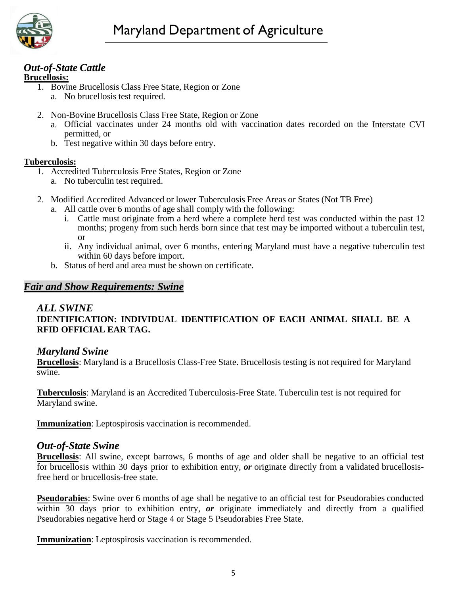

# *Out-of-State Cattle*

#### **Brucellosis:**

- 1. Bovine Brucellosis Class Free State, Region or Zone a. No brucellosis test required.
- 2. Non-Bovine Brucellosis Class Free State, Region or Zone
	- a. Official vaccinates under 24 months old with vaccination dates recorded on the Interstate CVI permitted, or
	- b. Test negative within 30 days before entry.

#### **Tuberculosis:**

- 1. Accredited Tuberculosis Free States, Region or Zone a. No tuberculin test required.
- 2. Modified Accredited Advanced or lower Tuberculosis Free Areas or States (Not TB Free)
	- a. All cattle over 6 months of age shall comply with the following:
		- i. Cattle must originate from a herd where a complete herd test was conducted within the past 12 months; progeny from such herds born since that test may be imported without a tuberculin test, or
		- ii. Any individual animal, over 6 months, entering Maryland must have a negative tuberculin test within 60 days before import.
	- b. Status of herd and area must be shown on certificate.

# *Fair and Show Requirements: Swine*

#### *ALL SWINE*

## **IDENTIFICATION: INDIVIDUAL IDENTIFICATION OF EACH ANIMAL SHALL BE A RFID OFFICIAL EAR TAG.**

#### *Maryland Swine*

**Brucellosis**: Maryland is a Brucellosis Class-Free State. Brucellosis testing is not required for Maryland swine.

**Tuberculosis**: Maryland is an Accredited Tuberculosis-Free State. Tuberculin test is not required for Maryland swine.

**Immunization**: Leptospirosis vaccination is recommended.

#### *Out-of-State Swine*

**Brucellosis**: All swine, except barrows, 6 months of age and older shall be negative to an official test for brucellosis within 30 days prior to exhibition entry, *or* originate directly from a validated brucellosisfree herd or brucellosis-free state.

**Pseudorabies**: Swine over 6 months of age shall be negative to an official test for Pseudorabies conducted within 30 days prior to exhibition entry, *or* originate immediately and directly from a qualified Pseudorabies negative herd or Stage 4 or Stage 5 Pseudorabies Free State.

**Immunization**: Leptospirosis vaccination is recommended.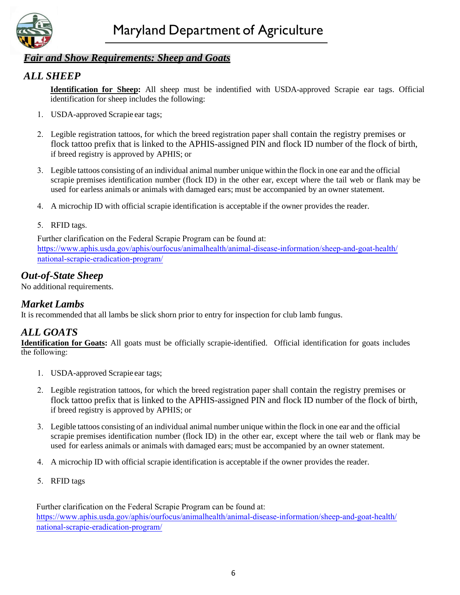

# *Fair and Show Requirements: Sheep and Goats*

# *ALL SHEEP*

**Identification for Sheep:** All sheep must be indentified with USDA-approved Scrapie ear tags. Official identification for sheep includes the following:

- 1. USDA-approved Scrapie ear tags;
- 2. Legible registration tattoos, for which the breed registration paper shall contain the registry premises or flock tattoo prefix that is linked to the APHIS-assigned PIN and flock ID number of the flock of birth, if breed registry is approved by APHIS; or
- 3. Legible tattoos consisting of an individual animal number unique within the flock in one ear and the official scrapie premises identification number (flock ID) in the other ear, except where the tail web or flank may be used for earless animals or animals with damaged ears; must be accompanied by an owner statement.
- 4. A microchip ID with official scrapie identification is acceptable if the owner provides the reader.

#### 5. RFID tags.

Further clarification on the Federal Scrapie Program can be found at: https://www.aphis.usda.gov/aphis/ourfocus/animalhealth/animal-disease-information/sheep-and-goat-health/ national-scrapie-eradication-program/

# *Out-of-State Sheep*

No additional requirements.

# *Market Lambs*

It is recommended that all lambs be slick shorn prior to entry for inspection for club lamb fungus.

# *ALL GOATS*

**Identification for Goats:** All goats must be officially scrapie-identified. Official identification for goats includes the following:

- 1. USDA-approved Scrapie ear tags;
- 2. Legible registration tattoos, for which the breed registration paper shall contain the registry premises or flock tattoo prefix that is linked to the APHIS-assigned PIN and flock ID number of the flock of birth, if breed registry is approved by APHIS; or
- 3. Legible tattoos consisting of an individual animal number unique within the flock in one ear and the official scrapie premises identification number (flock ID) in the other ear, except where the tail web or flank may be used for earless animals or animals with damaged ears; must be accompanied by an owner statement.
- 4. A microchip ID with official scrapie identification is acceptable if the owner provides the reader.
- 5. RFID tags

Further clarification on the Federal Scrapie Program can be found at: https://www.aphis.usda.gov/aphis/ourfocus/animalhealth/animal-disease-information/sheep-and-goat-health/ national-scrapie-eradication-program/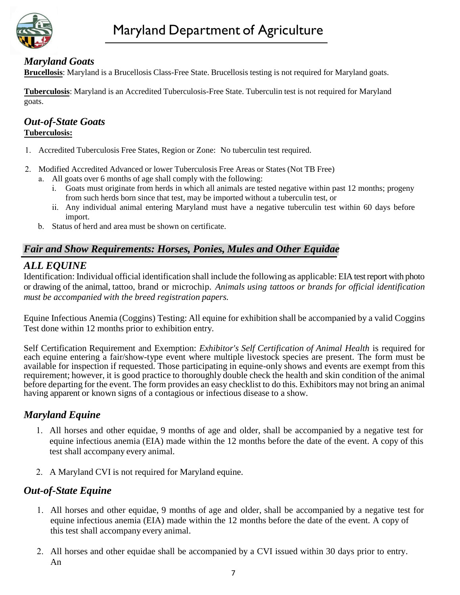

# *Maryland Goats*

**Brucellosis**: Maryland is a Brucellosis Class-Free State. Brucellosis testing is not required for Maryland goats.

**Tuberculosis**: Maryland is an Accredited Tuberculosis-Free State. Tuberculin test is not required for Maryland goats.

#### *Out-of-State Goats* **Tuberculosis:**

- 1. Accredited Tuberculosis Free States, Region or Zone: No tuberculin test required.
- 2. Modified Accredited Advanced or lower Tuberculosis Free Areas or States (Not TB Free)
	- a. All goats over 6 months of age shall comply with the following:
		- i. Goats must originate from herds in which all animals are tested negative within past 12 months; progeny from such herds born since that test, may be imported without a tuberculin test, or
		- ii. Any individual animal entering Maryland must have a negative tuberculin test within 60 days before import.
	- b. Status of herd and area must be shown on certificate.

# *Fair and Show Requirements: Horses, Ponies, Mules and Other Equidae*

## *ALL EQUINE*

Identification: Individual official identification shall include the following as applicable: EIA test report with photo or drawing of the animal, tattoo, brand or microchip. *Animals using tattoos or brands for official identification must be accompanied with the breed registration papers.*

Equine Infectious Anemia (Coggins) Testing: All equine for exhibition shall be accompanied by a valid Coggins Test done within 12 months prior to exhibition entry.

Self Certification Requirement and Exemption: *Exhibitor's Self Certification of Animal Health* is required for each equine entering a fair/show-type event where multiple livestock species are present. The form must be available for inspection if requested. Those participating in equine-only shows and events are exempt from this requirement; however, it is good practice to thoroughly double check the health and skin condition of the animal before departing for the event. The form provides an easy checklist to do this. Exhibitors may not bring an animal having apparent or known signs of a contagious or infectious disease to a show.

# *Maryland Equine*

- 1. All horses and other equidae, 9 months of age and older, shall be accompanied by a negative test for equine infectious anemia (EIA) made within the 12 months before the date of the event. A copy of this test shall accompany every animal.
- 2. A Maryland CVI is not required for Maryland equine.

## *Out-of-State Equine*

- 1. All horses and other equidae, 9 months of age and older, shall be accompanied by a negative test for equine infectious anemia (EIA) made within the 12 months before the date of the event. A copy of this test shall accompany every animal.
- 2. All horses and other equidae shall be accompanied by a CVI issued within 30 days prior to entry. An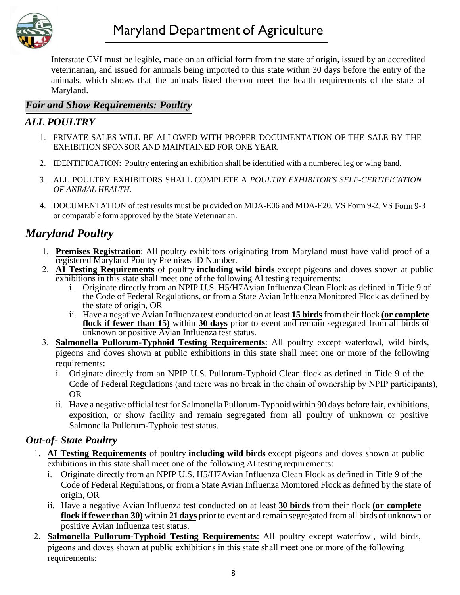

Interstate CVI must be legible, made on an official form from the state of origin, issued by an accredited veterinarian, and issued for animals being imported to this state within 30 days before the entry of the animals, which shows that the animals listed thereon meet the health requirements of the state of Maryland.

# *Fair and Show Requirements: Poultry*

# *ALL POULTRY*

- 1. PRIVATE SALES WILL BE ALLOWED WITH PROPER DOCUMENTATION OF THE SALE BY THE EXHIBITION SPONSOR AND MAINTAINED FOR ONE YEAR.
- 2. IDENTIFICATION: Poultry entering an exhibition shall be identified with a numbered leg or wing band.
- 3. ALL POULTRY EXHIBITORS SHALL COMPLETE A *POULTRY EXHIBITOR'S SELF-CERTIFICATION OF ANIMAL HEALTH*.
- 4. DOCUMENTATION of test results must be provided on MDA-E06 and MDA-E20, VS Form 9-2, VS Form 9-3 or comparable form approved by the State Veterinarian.

# *Maryland Poultry*

- 1. **Premises Registration**: All poultry exhibitors originating from Maryland must have valid proof of a registered Maryland Poultry Premises ID Number.
- 2. **AI Testing Requirements** of poultry **including wild birds** except pigeons and doves shown at public exhibitions in this state shall meet one of the following AI testing requirements:
	- i. Originate directly from an NPIP U.S. H5/H7Avian Influenza Clean Flock as defined in Title 9 of the Code of Federal Regulations, or from a State Avian Influenza Monitored Flock as defined by the state of origin, OR
	- ii. Have a negative Avian Influenza test conducted on at least **15 birds**from their flock **(or complete flock if fewer than 15)** within **30 days** prior to event and remain segregated from all birds of unknown or positive Avian Influenza test status.
- 3. **Salmonella Pullorum-Typhoid Testing Requirements**: All poultry except waterfowl, wild birds, pigeons and doves shown at public exhibitions in this state shall meet one or more of the following requirements:
	- i. Originate directly from an NPIP U.S. Pullorum-Typhoid Clean flock as defined in Title 9 of the Code of Federal Regulations (and there was no break in the chain of ownership by NPIP participants), OR
	- ii. Have a negative official test for Salmonella Pullorum-Typhoid within 90 days before fair, exhibitions, exposition, or show facility and remain segregated from all poultry of unknown or positive Salmonella Pullorum-Typhoid test status.

## *Out-of- State Poultry*

- 1. **AI Testing Requirements** of poultry **including wild birds** except pigeons and doves shown at public exhibitions in this state shall meet one of the following AI testing requirements:
	- i. Originate directly from an NPIP U.S. H5/H7Avian Influenza Clean Flock as defined in Title 9 of the Code of Federal Regulations, or from a State Avian Influenza Monitored Flock as defined by the state of origin, OR
	- ii. Have a negative Avian Influenza test conducted on at least **30 birds** from their flock **(or complete flock if fewer than 30)** within **21 days** prior to event and remain segregated from all birds of unknown or positive Avian Influenza test status.
- 2. **Salmonella Pullorum-Typhoid Testing Requirements**: All poultry except waterfowl, wild birds, pigeons and doves shown at public exhibitions in this state shall meet one or more of the following requirements: